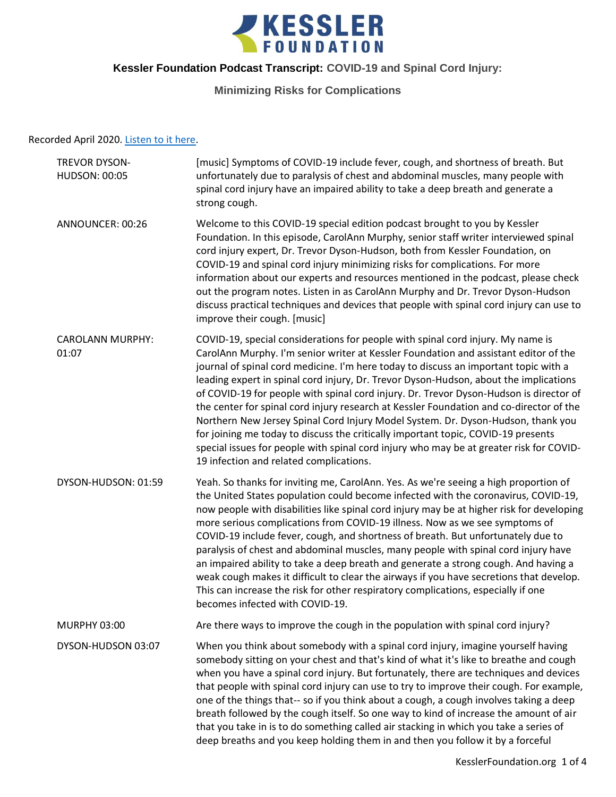

## **Minimizing Risks for Complications**

### Recorded April 2020. [Listen to it here.](https://soundcloud.com/kesslerfoundation/covid-19-and-spinal-cord-injury-minimizing-risks-for-complications)

| TREVOR DYSON-<br><b>HUDSON: 00:05</b> | [music] Symptoms of COVID-19 include fever, cough, and shortness of breath. But<br>unfortunately due to paralysis of chest and abdominal muscles, many people with<br>spinal cord injury have an impaired ability to take a deep breath and generate a<br>strong cough.                                                                                                                                                                                                                                                                                                                                                                                                                                                                                                                                                                                      |
|---------------------------------------|--------------------------------------------------------------------------------------------------------------------------------------------------------------------------------------------------------------------------------------------------------------------------------------------------------------------------------------------------------------------------------------------------------------------------------------------------------------------------------------------------------------------------------------------------------------------------------------------------------------------------------------------------------------------------------------------------------------------------------------------------------------------------------------------------------------------------------------------------------------|
| ANNOUNCER: 00:26                      | Welcome to this COVID-19 special edition podcast brought to you by Kessler<br>Foundation. In this episode, CarolAnn Murphy, senior staff writer interviewed spinal<br>cord injury expert, Dr. Trevor Dyson-Hudson, both from Kessler Foundation, on<br>COVID-19 and spinal cord injury minimizing risks for complications. For more<br>information about our experts and resources mentioned in the podcast, please check<br>out the program notes. Listen in as CarolAnn Murphy and Dr. Trevor Dyson-Hudson<br>discuss practical techniques and devices that people with spinal cord injury can use to<br>improve their cough. [music]                                                                                                                                                                                                                      |
| <b>CAROLANN MURPHY:</b><br>01:07      | COVID-19, special considerations for people with spinal cord injury. My name is<br>CarolAnn Murphy. I'm senior writer at Kessler Foundation and assistant editor of the<br>journal of spinal cord medicine. I'm here today to discuss an important topic with a<br>leading expert in spinal cord injury, Dr. Trevor Dyson-Hudson, about the implications<br>of COVID-19 for people with spinal cord injury. Dr. Trevor Dyson-Hudson is director of<br>the center for spinal cord injury research at Kessler Foundation and co-director of the<br>Northern New Jersey Spinal Cord Injury Model System. Dr. Dyson-Hudson, thank you<br>for joining me today to discuss the critically important topic, COVID-19 presents<br>special issues for people with spinal cord injury who may be at greater risk for COVID-<br>19 infection and related complications. |
| DYSON-HUDSON: 01:59                   | Yeah. So thanks for inviting me, CarolAnn. Yes. As we're seeing a high proportion of<br>the United States population could become infected with the coronavirus, COVID-19,<br>now people with disabilities like spinal cord injury may be at higher risk for developing<br>more serious complications from COVID-19 illness. Now as we see symptoms of<br>COVID-19 include fever, cough, and shortness of breath. But unfortunately due to<br>paralysis of chest and abdominal muscles, many people with spinal cord injury have<br>an impaired ability to take a deep breath and generate a strong cough. And having a<br>weak cough makes it difficult to clear the airways if you have secretions that develop.<br>This can increase the risk for other respiratory complications, especially if one<br>becomes infected with COVID-19.                   |
| <b>MURPHY 03:00</b>                   | Are there ways to improve the cough in the population with spinal cord injury?                                                                                                                                                                                                                                                                                                                                                                                                                                                                                                                                                                                                                                                                                                                                                                               |
| DYSON-HUDSON 03:07                    | When you think about somebody with a spinal cord injury, imagine yourself having<br>somebody sitting on your chest and that's kind of what it's like to breathe and cough<br>when you have a spinal cord injury. But fortunately, there are techniques and devices<br>that people with spinal cord injury can use to try to improve their cough. For example,<br>one of the things that-- so if you think about a cough, a cough involves taking a deep<br>breath followed by the cough itself. So one way to kind of increase the amount of air<br>that you take in is to do something called air stacking in which you take a series of<br>deep breaths and you keep holding them in and then you follow it by a forceful                                                                                                                                  |
|                                       |                                                                                                                                                                                                                                                                                                                                                                                                                                                                                                                                                                                                                                                                                                                                                                                                                                                              |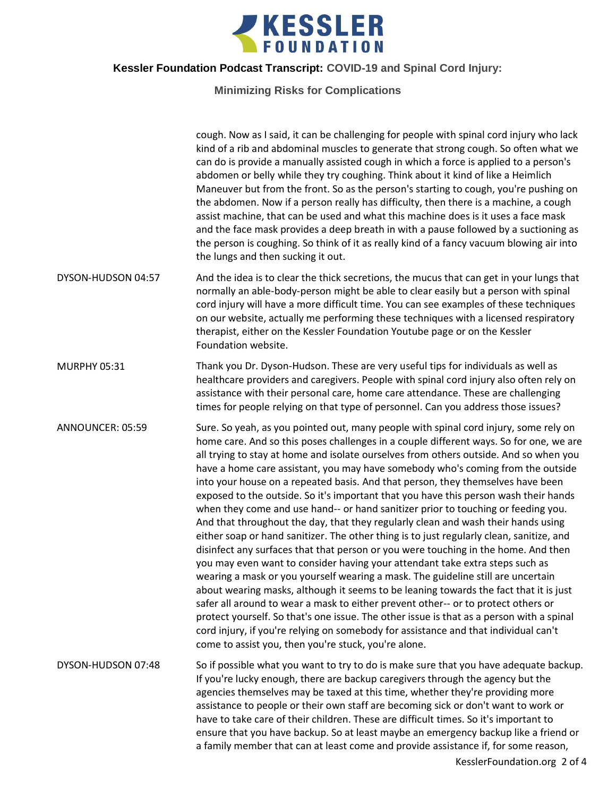

**Minimizing Risks for Complications**

|                     | cough. Now as I said, it can be challenging for people with spinal cord injury who lack<br>kind of a rib and abdominal muscles to generate that strong cough. So often what we<br>can do is provide a manually assisted cough in which a force is applied to a person's<br>abdomen or belly while they try coughing. Think about it kind of like a Heimlich<br>Maneuver but from the front. So as the person's starting to cough, you're pushing on<br>the abdomen. Now if a person really has difficulty, then there is a machine, a cough<br>assist machine, that can be used and what this machine does is it uses a face mask<br>and the face mask provides a deep breath in with a pause followed by a suctioning as<br>the person is coughing. So think of it as really kind of a fancy vacuum blowing air into<br>the lungs and then sucking it out.                                                                                                                                                                                                                                                                                                                                                                                                                                                                                                                                                                                                                                    |
|---------------------|------------------------------------------------------------------------------------------------------------------------------------------------------------------------------------------------------------------------------------------------------------------------------------------------------------------------------------------------------------------------------------------------------------------------------------------------------------------------------------------------------------------------------------------------------------------------------------------------------------------------------------------------------------------------------------------------------------------------------------------------------------------------------------------------------------------------------------------------------------------------------------------------------------------------------------------------------------------------------------------------------------------------------------------------------------------------------------------------------------------------------------------------------------------------------------------------------------------------------------------------------------------------------------------------------------------------------------------------------------------------------------------------------------------------------------------------------------------------------------------------|
| DYSON-HUDSON 04:57  | And the idea is to clear the thick secretions, the mucus that can get in your lungs that<br>normally an able-body-person might be able to clear easily but a person with spinal<br>cord injury will have a more difficult time. You can see examples of these techniques<br>on our website, actually me performing these techniques with a licensed respiratory<br>therapist, either on the Kessler Foundation Youtube page or on the Kessler<br>Foundation website.                                                                                                                                                                                                                                                                                                                                                                                                                                                                                                                                                                                                                                                                                                                                                                                                                                                                                                                                                                                                                           |
| <b>MURPHY 05:31</b> | Thank you Dr. Dyson-Hudson. These are very useful tips for individuals as well as<br>healthcare providers and caregivers. People with spinal cord injury also often rely on<br>assistance with their personal care, home care attendance. These are challenging<br>times for people relying on that type of personnel. Can you address those issues?                                                                                                                                                                                                                                                                                                                                                                                                                                                                                                                                                                                                                                                                                                                                                                                                                                                                                                                                                                                                                                                                                                                                           |
| ANNOUNCER: 05:59    | Sure. So yeah, as you pointed out, many people with spinal cord injury, some rely on<br>home care. And so this poses challenges in a couple different ways. So for one, we are<br>all trying to stay at home and isolate ourselves from others outside. And so when you<br>have a home care assistant, you may have somebody who's coming from the outside<br>into your house on a repeated basis. And that person, they themselves have been<br>exposed to the outside. So it's important that you have this person wash their hands<br>when they come and use hand-- or hand sanitizer prior to touching or feeding you.<br>And that throughout the day, that they regularly clean and wash their hands using<br>either soap or hand sanitizer. The other thing is to just regularly clean, sanitize, and<br>disinfect any surfaces that that person or you were touching in the home. And then<br>you may even want to consider having your attendant take extra steps such as<br>wearing a mask or you yourself wearing a mask. The guideline still are uncertain<br>about wearing masks, although it seems to be leaning towards the fact that it is just<br>safer all around to wear a mask to either prevent other-- or to protect others or<br>protect yourself. So that's one issue. The other issue is that as a person with a spinal<br>cord injury, if you're relying on somebody for assistance and that individual can't<br>come to assist you, then you're stuck, you're alone. |
| DYSON-HUDSON 07:48  | So if possible what you want to try to do is make sure that you have adequate backup.<br>If you're lucky enough, there are backup caregivers through the agency but the<br>agencies themselves may be taxed at this time, whether they're providing more<br>assistance to people or their own staff are becoming sick or don't want to work or<br>have to take care of their children. These are difficult times. So it's important to<br>ensure that you have backup. So at least maybe an emergency backup like a friend or<br>a family member that can at least come and provide assistance if, for some reason,<br>KesslerFoundation.org 2 of 4                                                                                                                                                                                                                                                                                                                                                                                                                                                                                                                                                                                                                                                                                                                                                                                                                                            |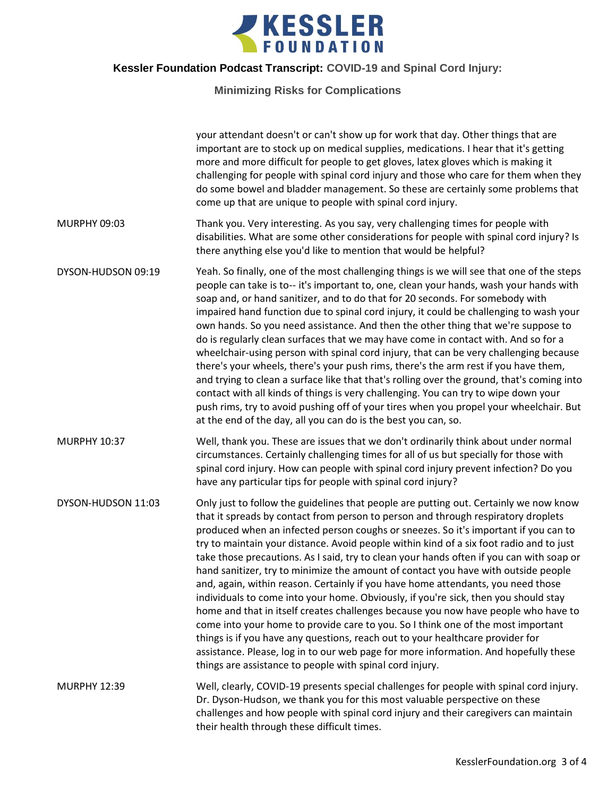

**Minimizing Risks for Complications**

|                     | your attendant doesn't or can't show up for work that day. Other things that are<br>important are to stock up on medical supplies, medications. I hear that it's getting<br>more and more difficult for people to get gloves, latex gloves which is making it<br>challenging for people with spinal cord injury and those who care for them when they<br>do some bowel and bladder management. So these are certainly some problems that<br>come up that are unique to people with spinal cord injury.                                                                                                                                                                                                                                                                                                                                                                                                                                                                                                                                                                                                                                    |
|---------------------|-------------------------------------------------------------------------------------------------------------------------------------------------------------------------------------------------------------------------------------------------------------------------------------------------------------------------------------------------------------------------------------------------------------------------------------------------------------------------------------------------------------------------------------------------------------------------------------------------------------------------------------------------------------------------------------------------------------------------------------------------------------------------------------------------------------------------------------------------------------------------------------------------------------------------------------------------------------------------------------------------------------------------------------------------------------------------------------------------------------------------------------------|
| MURPHY 09:03        | Thank you. Very interesting. As you say, very challenging times for people with<br>disabilities. What are some other considerations for people with spinal cord injury? Is<br>there anything else you'd like to mention that would be helpful?                                                                                                                                                                                                                                                                                                                                                                                                                                                                                                                                                                                                                                                                                                                                                                                                                                                                                            |
| DYSON-HUDSON 09:19  | Yeah. So finally, one of the most challenging things is we will see that one of the steps<br>people can take is to-- it's important to, one, clean your hands, wash your hands with<br>soap and, or hand sanitizer, and to do that for 20 seconds. For somebody with<br>impaired hand function due to spinal cord injury, it could be challenging to wash your<br>own hands. So you need assistance. And then the other thing that we're suppose to<br>do is regularly clean surfaces that we may have come in contact with. And so for a<br>wheelchair-using person with spinal cord injury, that can be very challenging because<br>there's your wheels, there's your push rims, there's the arm rest if you have them,<br>and trying to clean a surface like that that's rolling over the ground, that's coming into<br>contact with all kinds of things is very challenging. You can try to wipe down your<br>push rims, try to avoid pushing off of your tires when you propel your wheelchair. But<br>at the end of the day, all you can do is the best you can, so.                                                                |
| <b>MURPHY 10:37</b> | Well, thank you. These are issues that we don't ordinarily think about under normal<br>circumstances. Certainly challenging times for all of us but specially for those with<br>spinal cord injury. How can people with spinal cord injury prevent infection? Do you<br>have any particular tips for people with spinal cord injury?                                                                                                                                                                                                                                                                                                                                                                                                                                                                                                                                                                                                                                                                                                                                                                                                      |
| DYSON-HUDSON 11:03  | Only just to follow the guidelines that people are putting out. Certainly we now know<br>that it spreads by contact from person to person and through respiratory droplets<br>produced when an infected person coughs or sneezes. So it's important if you can to<br>try to maintain your distance. Avoid people within kind of a six foot radio and to just<br>take those precautions. As I said, try to clean your hands often if you can with soap or<br>hand sanitizer, try to minimize the amount of contact you have with outside people<br>and, again, within reason. Certainly if you have home attendants, you need those<br>individuals to come into your home. Obviously, if you're sick, then you should stay<br>home and that in itself creates challenges because you now have people who have to<br>come into your home to provide care to you. So I think one of the most important<br>things is if you have any questions, reach out to your healthcare provider for<br>assistance. Please, log in to our web page for more information. And hopefully these<br>things are assistance to people with spinal cord injury. |
| <b>MURPHY 12:39</b> | Well, clearly, COVID-19 presents special challenges for people with spinal cord injury.<br>Dr. Dyson-Hudson, we thank you for this most valuable perspective on these<br>challenges and how people with spinal cord injury and their caregivers can maintain<br>their health through these difficult times.                                                                                                                                                                                                                                                                                                                                                                                                                                                                                                                                                                                                                                                                                                                                                                                                                               |